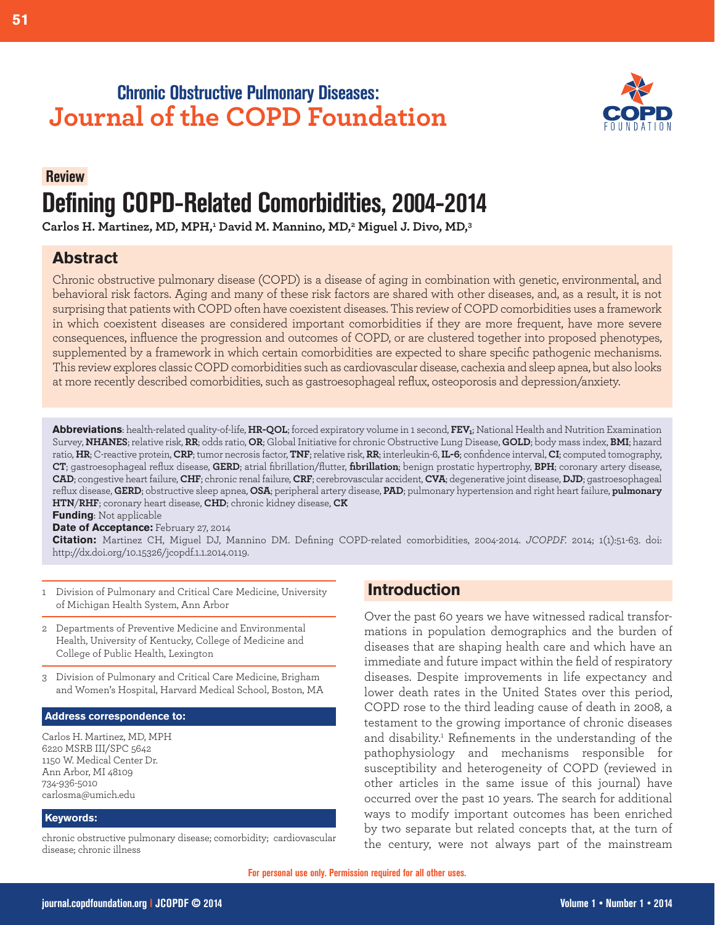# **Chronic Obstructive Pulmonary Diseases: Journal of the COPD Foundation**



# **Review. Defining COPD-Related Comorbidities, 2004-2014**

**Carlos H. Martinez, MD, MPH,1 David M. Mannino, MD,2 Miguel J. Divo, MD,3**

# **Abstract**

Chronic obstructive pulmonary disease (COPD) is a disease of aging in combination with genetic, environmental, and behavioral risk factors. Aging and many of these risk factors are shared with other diseases, and, as a result, it is not surprising that patients with COPD often have coexistent diseases. This review of COPD comorbidities uses a framework in which coexistent diseases are considered important comorbidities if they are more frequent, have more severe consequences, influence the progression and outcomes of COPD, or are clustered together into proposed phenotypes, supplemented by a framework in which certain comorbidities are expected to share specific pathogenic mechanisms. This review explores classic COPD comorbidities such as cardiovascular disease, cachexia and sleep apnea, but also looks at more recently described comorbidities, such as gastroesophageal reflux, osteoporosis and depression/anxiety.

**Abbreviations**: health-related quality-of-life, **HR-QOL**; forced expiratory volume in 1 second, **FEV1**; National Health and Nutrition Examination Survey, **NHANES**; relative risk, **RR**; odds ratio, **OR**; Global Initiative for chronic Obstructive Lung Disease, **GOLD**; body mass index, **BMI**; hazard ratio, **HR**; C-reactive protein, **CRP**; tumor necrosis factor, **TNF**; relative risk, **RR**; interleukin-6, **IL-6**; confidence interval, **CI**; computed tomography, **CT**; gastroesophageal reflux disease, **GERD**; atrial fibrillation/flutter, **fibrillation**; benign prostatic hypertrophy, **BPH**; coronary artery disease, **CAD**; congestive heart failure, **CHF**; chronic renal failure, **CRF**; cerebrovascular accident, **CVA**; degenerative joint disease, **DJD**; gastroesophageal reflux disease, **GERD**; obstructive sleep apnea, **OSA**; peripheral artery disease, **PAD**; pulmonary hypertension and right heart failure, **pulmonary HTN**/**RHF**; coronary heart disease, **CHD**; chronic kidney disease, **CK**

**Funding**: Not applicable

**Date of Acceptance:** February 27, 2014

**Citation:** Martinez CH, Miguel DJ, Mannino DM. Defining COPD-related comorbidities, 2004-2014. *JCOPDF.* 2014; 1(1):51-63. doi: http://dx.doi.org/10.15326/jcopdf.1.1.2014.0119.

- 1 Division of Pulmonary and Critical Care Medicine, University of Michigan Health System, Ann Arbor
- 2 Departments of Preventive Medicine and Environmental Health, University of Kentucky, College of Medicine and College of Public Health, Lexington
- 3 Division of Pulmonary and Critical Care Medicine, Brigham and Women's Hospital, Harvard Medical School, Boston, MA

#### **Address correspondence to:**

Carlos H. Martinez, MD, MPH 6220 MSRB III/SPC 5642 1150 W. Medical Center Dr. Ann Arbor, MI 48109 734-936-5010 carlosma@umich.edu

#### **Keywords:**

chronic obstructive pulmonary disease; comorbidity; cardiovascular disease; chronic illness

# **Introduction**

Over the past 60 years we have witnessed radical transformations in population demographics and the burden of diseases that are shaping health care and which have an immediate and future impact within the field of respiratory diseases. Despite improvements in life expectancy and lower death rates in the United States over this period, COPD rose to the third leading cause of death in 2008, a testament to the growing importance of chronic diseases and disability.<sup>1</sup> Refinements in the understanding of the pathophysiology and mechanisms responsible for susceptibility and heterogeneity of COPD (reviewed in other articles in the same issue of this journal) have occurred over the past 10 years. The search for additional ways to modify important outcomes has been enriched by two separate but related concepts that, at the turn of the century, were not always part of the mainstream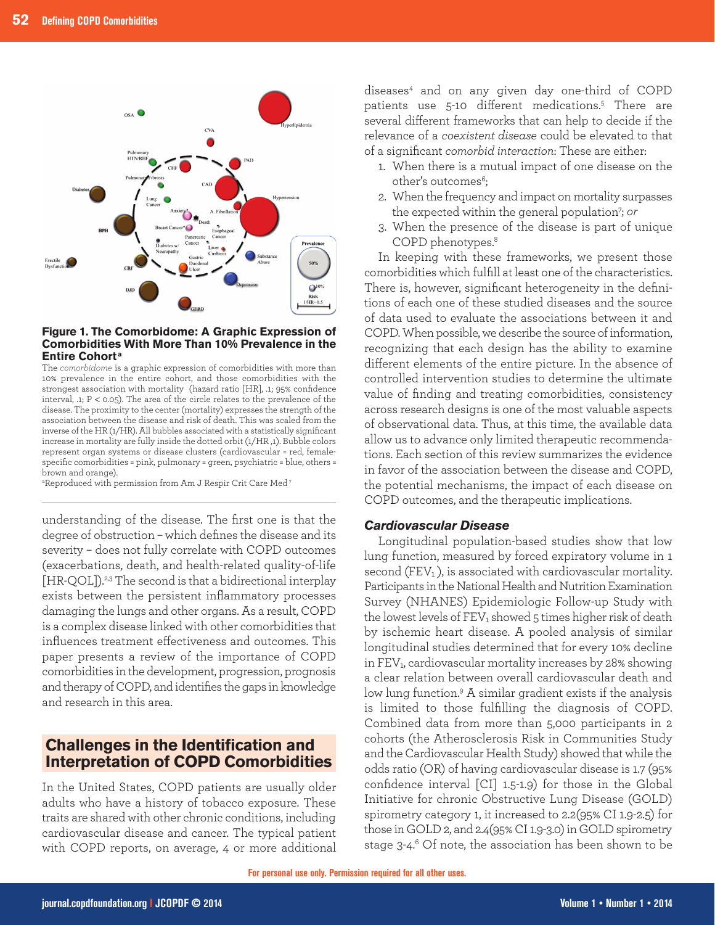

#### **Figure 1. The Comorbidome: A Graphic Expression of Comorbidities With More Than 10% Prevalence in the Entire Cohort <sup>a</sup>**

The *comorbidome* is a graphic expression of comorbidities with more than 10% prevalence in the entire cohort, and those comorbidities with the strongest association with mortality (hazard ratio [HR], .1; 95% confidence interval, .1; P < 0.05). The area of the circle relates to the prevalence of the disease. The proximity to the center (mortality) expresses the strength of the association between the disease and risk of death. This was scaled from the inverse of the HR (1/HR). All bubbles associated with a statistically significant increase in mortality are fully inside the dotted orbit (1/HR ,1). Bubble colors represent organ systems or disease clusters (cardiovascular = red, femalespecific comorbidities = pink, pulmonary = green, psychiatric = blue, others = brown and orange).

 $^{\text{\tiny{\textsf{a}}} }$ Reproduced with permission from Am J Respir Crit Care Med $^{\text{\tiny{\textsf{7}}}}$ 

understanding of the disease. The first one is that the degree of obstruction – which defines the disease and its severity – does not fully correlate with COPD outcomes (exacerbations, death, and health-related quality-of-life [HR-QOL]).<sup>2,3</sup> The second is that a bidirectional interplay exists between the persistent inflammatory processes damaging the lungs and other organs. As a result, COPD is a complex disease linked with other comorbidities that influences treatment effectiveness and outcomes. This paper presents a review of the importance of COPD comorbidities in the development, progression, prognosis and therapy of COPD, and identifies the gaps in knowledge and research in this area.

# **Challenges in the Identification and Interpretation of COPD Comorbidities**

In the United States, COPD patients are usually older adults who have a history of tobacco exposure. These traits are shared with other chronic conditions, including cardiovascular disease and cancer. The typical patient with COPD reports, on average, 4 or more additional

diseases4 and on any given day one-third of COPD patients use 5-10 different medications.5 There are several different frameworks that can help to decide if the relevance of a *coexistent disease* could be elevated to that of a significant *comorbid interaction*: These are either:

- 1. When there is a mutual impact of one disease on the other's outcomes<sup>6</sup>;
- 2. When the frequency and impact on mortality surpasses the expected within the general population7 ; *or*
- 3. When the presence of the disease is part of unique COPD phenotypes.<sup>8</sup>

In keeping with these frameworks, we present those comorbidities which fulfill at least one of the characteristics. There is, however, significant heterogeneity in the definitions of each one of these studied diseases and the source of data used to evaluate the associations between it and COPD. When possible, we describe the source of information, recognizing that each design has the ability to examine different elements of the entire picture. In the absence of controlled intervention studies to determine the ultimate value of finding and treating comorbidities, consistency across research designs is one of the most valuable aspects of observational data. Thus, at this time, the available data allow us to advance only limited therapeutic recommendations. Each section of this review summarizes the evidence in favor of the association between the disease and COPD, the potential mechanisms, the impact of each disease on COPD outcomes, and the therapeutic implications.

## *Cardiovascular Disease*

Longitudinal population-based studies show that low lung function, measured by forced expiratory volume in 1 second (FEV<sub>1</sub>), is associated with cardiovascular mortality. Participants in the National Health and Nutrition Examination Survey (NHANES) Epidemiologic Follow-up Study with the lowest levels of  $FEV_1$  showed 5 times higher risk of death by ischemic heart disease. A pooled analysis of similar longitudinal studies determined that for every 10% decline in FEV<sub>1</sub>, cardiovascular mortality increases by 28% showing a clear relation between overall cardiovascular death and low lung function.<sup>9</sup> A similar gradient exists if the analysis is limited to those fulfilling the diagnosis of COPD. Combined data from more than 5,000 participants in 2 cohorts (the Atherosclerosis Risk in Communities Study and the Cardiovascular Health Study) showed that while the odds ratio (OR) of having cardiovascular disease is 1.7 (95% confidence interval [CI] 1.5-1.9) for those in the Global Initiative for chronic Obstructive Lung Disease (GOLD) spirometry category 1, it increased to 2.2(95% CI 1.9-2.5) for those in GOLD 2, and 2.4(95% CI 1.9-3.0) in GOLD spirometry stage  $3-4.6$  Of note, the association has been shown to be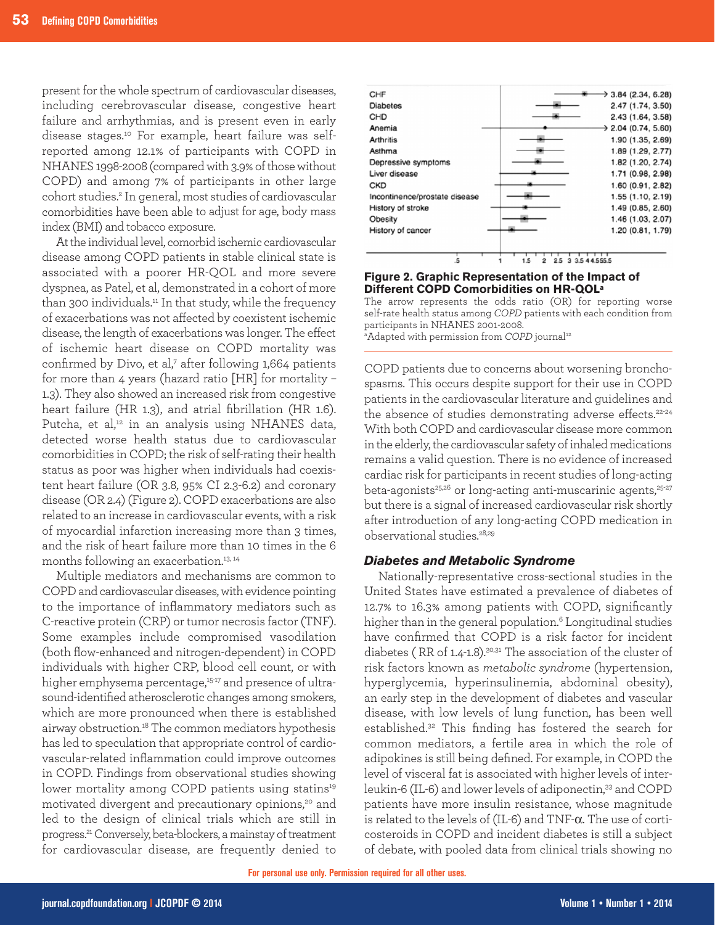present for the whole spectrum of cardiovascular diseases, including cerebrovascular disease, congestive heart failure and arrhythmias, and is present even in early disease stages.10 For example, heart failure was selfreported among 12.1% of participants with COPD in NHANES 1998-2008 (compared with 3.9% of those without COPD) and among 7% of participants in other large cohort studies.<sup>2</sup> In general, most studies of cardiovascular comorbidities have been able to adjust for age, body mass index (BMI) and tobacco exposure.

At the individual level, comorbid ischemic cardiovascular disease among COPD patients in stable clinical state is associated with a poorer HR-QOL and more severe dyspnea, as Patel, et al, demonstrated in a cohort of more than 300 individuals.<sup>11</sup> In that study, while the frequency of exacerbations was not affected by coexistent ischemic disease, the length of exacerbations was longer. The effect of ischemic heart disease on COPD mortality was confirmed by Divo, et al,<sup>7</sup> after following 1,664 patients for more than 4 years (hazard ratio [HR] for mortality – 1.3). They also showed an increased risk from congestive heart failure (HR 1.3), and atrial fibrillation (HR 1.6). Putcha, et al,<sup>12</sup> in an analysis using NHANES data, detected worse health status due to cardiovascular comorbidities in COPD; the risk of self-rating their health status as poor was higher when individuals had coexistent heart failure (OR 3.8, 95% CI 2.3-6.2) and coronary disease (OR 2.4) (Figure 2). COPD exacerbations are also related to an increase in cardiovascular events, with a risk of myocardial infarction increasing more than 3 times, and the risk of heart failure more than 10 times in the 6 months following an exacerbation.13, 14

Multiple mediators and mechanisms are common to COPD and cardiovascular diseases, with evidence pointing to the importance of inflammatory mediators such as C-reactive protein (CRP) or tumor necrosis factor (TNF). Some examples include compromised vasodilation (both flow-enhanced and nitrogen-dependent) in COPD individuals with higher CRP, blood cell count, or with higher emphysema percentage,<sup>15-17</sup> and presence of ultrasound-identified atherosclerotic changes among smokers, which are more pronounced when there is established airway obstruction.18 The common mediators hypothesis has led to speculation that appropriate control of cardiovascular-related inflammation could improve outcomes in COPD. Findings from observational studies showing lower mortality among COPD patients using statins<sup>19</sup> motivated divergent and precautionary opinions,<sup>20</sup> and led to the design of clinical trials which are still in progress.21Conversely, beta-blockers, a mainstay of treatment for cardiovascular disease, are frequently denied to



#### **Figure 2. Graphic Representation of the Impact of Different COPD Comorbidities on HR-QOLa**

The arrow represents the odds ratio (OR) for reporting worse self-rate health status among *COPD* patients with each condition from participants in NHANES 2001-2008. <sup>a</sup>Adapted with permission from *COPD* journal<sup>12</sup>

COPD patients due to concerns about worsening bronchospasms. This occurs despite support for their use in COPD patients in the cardiovascular literature and guidelines and the absence of studies demonstrating adverse effects.<sup>22-24</sup> With both COPD and cardiovascular disease more common in the elderly, the cardiovascular safety of inhaled medications remains a valid question. There is no evidence of increased cardiac risk for participants in recent studies of long-acting beta-agonists<sup>25,26</sup> or long-acting anti-muscarinic agents,<sup>25-27</sup> but there is a signal of increased cardiovascular risk shortly after introduction of any long-acting COPD medication in observational studies.28,29

## *Diabetes and Metabolic Syndrome*

Nationally-representative cross-sectional studies in the United States have estimated a prevalence of diabetes of 12.7% to 16.3% among patients with COPD, significantly higher than in the general population.<sup>6</sup> Longitudinal studies have confirmed that COPD is a risk factor for incident diabetes ( RR of 1.4-1.8).30,31 The association of the cluster of risk factors known as *metabolic syndrome* (hypertension, hyperglycemia, hyperinsulinemia, abdominal obesity), an early step in the development of diabetes and vascular disease, with low levels of lung function, has been well established.32 This finding has fostered the search for common mediators, a fertile area in which the role of adipokines is still being defined. For example, in COPD the level of visceral fat is associated with higher levels of interleukin-6 (IL-6) and lower levels of adiponectin,<sup>33</sup> and COPD patients have more insulin resistance, whose magnitude is related to the levels of (IL-6) and TNF-α. The use of corticosteroids in COPD and incident diabetes is still a subject of debate, with pooled data from clinical trials showing no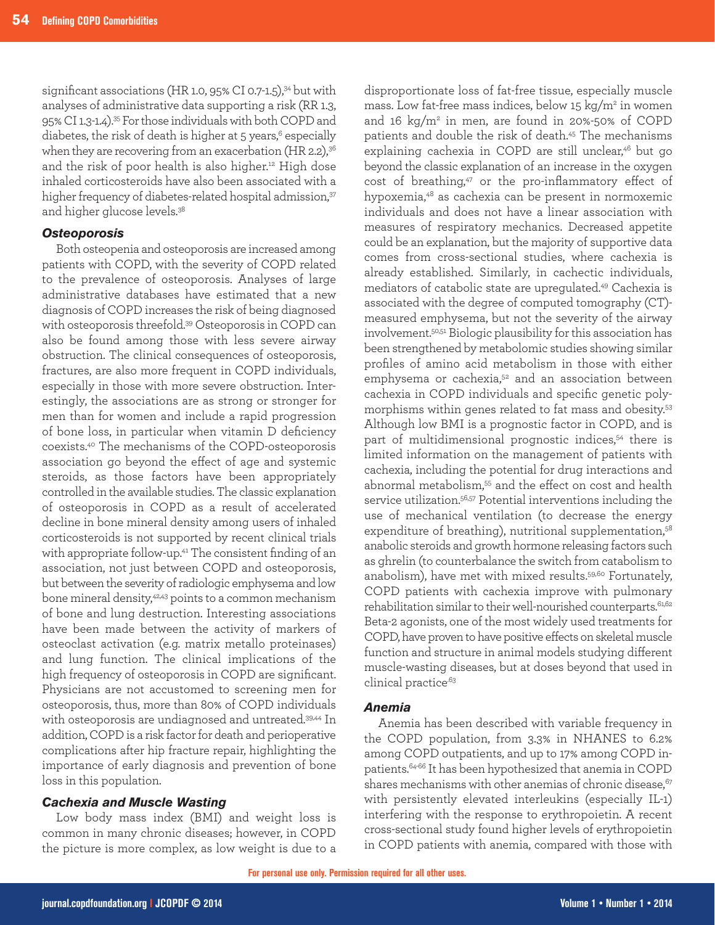significant associations (HR 1.0, 95% CI 0.7-1.5),<sup>34</sup> but with analyses of administrative data supporting a risk (RR 1.3, 95% CI 1.3-1.4).35 For those individuals with both COPD and diabetes, the risk of death is higher at 5 years, $6$  especially when they are recovering from an exacerbation (HR 2.2), $36$ and the risk of poor health is also higher.<sup>12</sup> High dose inhaled corticosteroids have also been associated with a higher frequency of diabetes-related hospital admission,<sup>37</sup> and higher glucose levels.<sup>38</sup>

### *Osteoporosis*

Both osteopenia and osteoporosis are increased among patients with COPD, with the severity of COPD related to the prevalence of osteoporosis. Analyses of large administrative databases have estimated that a new diagnosis of COPD increases the risk of being diagnosed with osteoporosis threefold.39 Osteoporosis in COPD can also be found among those with less severe airway obstruction. The clinical consequences of osteoporosis, fractures, are also more frequent in COPD individuals, especially in those with more severe obstruction. Interestingly, the associations are as strong or stronger for men than for women and include a rapid progression of bone loss, in particular when vitamin D deficiency coexists.40 The mechanisms of the COPD-osteoporosis association go beyond the effect of age and systemic steroids, as those factors have been appropriately controlled in the available studies. The classic explanation of osteoporosis in COPD as a result of accelerated decline in bone mineral density among users of inhaled corticosteroids is not supported by recent clinical trials with appropriate follow-up.<sup>41</sup> The consistent finding of an association, not just between COPD and osteoporosis, but between the severity of radiologic emphysema and low bone mineral density,<sup>42,43</sup> points to a common mechanism of bone and lung destruction. Interesting associations have been made between the activity of markers of osteoclast activation (e.g. matrix metallo proteinases) and lung function. The clinical implications of the high frequency of osteoporosis in COPD are significant. Physicians are not accustomed to screening men for osteoporosis, thus, more than 80% of COPD individuals with osteoporosis are undiagnosed and untreated.<sup>39,44</sup> In addition, COPD is a risk factor for death and perioperative complications after hip fracture repair, highlighting the importance of early diagnosis and prevention of bone loss in this population.

## *Cachexia and Muscle Wasting*

Low body mass index (BMI) and weight loss is common in many chronic diseases; however, in COPD the picture is more complex, as low weight is due to a disproportionate loss of fat-free tissue, especially muscle mass. Low fat-free mass indices, below  $15 \text{ kg/m}^2$  in women and  $16 \text{ kg/m}^2$  in men, are found in 20%-50% of COPD patients and double the risk of death.45 The mechanisms explaining cachexia in COPD are still unclear,<sup>46</sup> but go beyond the classic explanation of an increase in the oxygen cost of breathing,<sup>47</sup> or the pro-inflammatory effect of hypoxemia,48 as cachexia can be present in normoxemic individuals and does not have a linear association with measures of respiratory mechanics. Decreased appetite could be an explanation, but the majority of supportive data comes from cross-sectional studies, where cachexia is already established. Similarly, in cachectic individuals, mediators of catabolic state are upregulated.49 Cachexia is associated with the degree of computed tomography (CT)measured emphysema, but not the severity of the airway involvement.50,51 Biologic plausibility for this association has been strengthened by metabolomic studies showing similar profiles of amino acid metabolism in those with either emphysema or cachexia,<sup>52</sup> and an association between cachexia in COPD individuals and specific genetic polymorphisms within genes related to fat mass and obesity.53 Although low BMI is a prognostic factor in COPD, and is part of multidimensional prognostic indices,<sup>54</sup> there is limited information on the management of patients with cachexia, including the potential for drug interactions and abnormal metabolism,<sup>55</sup> and the effect on cost and health service utilization.<sup>56,57</sup> Potential interventions including the use of mechanical ventilation (to decrease the energy expenditure of breathing), nutritional supplementation,<sup>58</sup> anabolic steroids and growth hormone releasing factors such as ghrelin (to counterbalance the switch from catabolism to anabolism), have met with mixed results.<sup>59,60</sup> Fortunately, COPD patients with cachexia improve with pulmonary rehabilitation similar to their well-nourished counterparts.61,62 Beta-2 agonists, one of the most widely used treatments for COPD, have proven to have positive effects on skeletal muscle function and structure in animal models studying different muscle-wasting diseases, but at doses beyond that used in clinical practice.63

#### *Anemia*

Anemia has been described with variable frequency in the COPD population, from 3.3% in NHANES to 6.2% among COPD outpatients, and up to 17% among COPD inpatients.64-66 It has been hypothesized that anemia in COPD shares mechanisms with other anemias of chronic disease,<sup>67</sup> with persistently elevated interleukins (especially IL-1) interfering with the response to erythropoietin. A recent cross-sectional study found higher levels of erythropoietin in COPD patients with anemia, compared with those with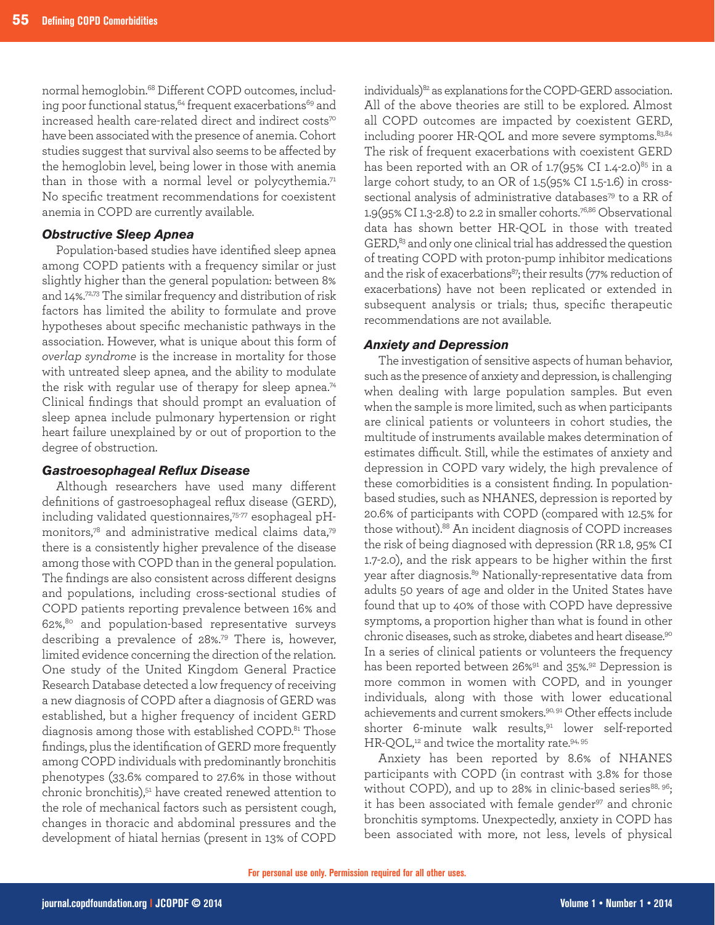normal hemoglobin.68 Different COPD outcomes, including poor functional status, $64$  frequent exacerbations $69$  and increased health care-related direct and indirect costs<sup>70</sup> have been associated with the presence of anemia. Cohort studies suggest that survival also seems to be affected by the hemoglobin level, being lower in those with anemia than in those with a normal level or polycythemia.<sup>71</sup> No specific treatment recommendations for coexistent anemia in COPD are currently available.

#### *Obstructive Sleep Apnea*

Population-based studies have identified sleep apnea among COPD patients with a frequency similar or just slightly higher than the general population: between 8% and 14%.72,73 The similar frequency and distribution of risk factors has limited the ability to formulate and prove hypotheses about specific mechanistic pathways in the association. However, what is unique about this form of *overlap syndrome* is the increase in mortality for those with untreated sleep apnea, and the ability to modulate the risk with regular use of therapy for sleep apnea.<sup>74</sup> Clinical findings that should prompt an evaluation of sleep apnea include pulmonary hypertension or right heart failure unexplained by or out of proportion to the degree of obstruction.

#### *Gastroesophageal Reflux Disease*

Although researchers have used many different definitions of gastroesophageal reflux disease (GERD), including validated questionnaires,75-77 esophageal pHmonitors,78 and administrative medical claims data,79 there is a consistently higher prevalence of the disease among those with COPD than in the general population. The findings are also consistent across different designs and populations, including cross-sectional studies of COPD patients reporting prevalence between 16% and 62%,80 and population-based representative surveys describing a prevalence of 28%.79 There is, however, limited evidence concerning the direction of the relation. One study of the United Kingdom General Practice Research Database detected a low frequency of receiving a new diagnosis of COPD after a diagnosis of GERD was established, but a higher frequency of incident GERD diagnosis among those with established COPD.<sup>81</sup> Those findings, plus the identification of GERD more frequently among COPD individuals with predominantly bronchitis phenotypes (33.6% compared to 27.6% in those without chronic bronchitis),51 have created renewed attention to the role of mechanical factors such as persistent cough, changes in thoracic and abdominal pressures and the development of hiatal hernias (present in 13% of COPD

individuals)<sup>82</sup> as explanations for the COPD-GERD association. All of the above theories are still to be explored. Almost all COPD outcomes are impacted by coexistent GERD, including poorer HR-QOL and more severe symptoms. 83,84 The risk of frequent exacerbations with coexistent GERD has been reported with an OR of  $1.7(95\% \text{ CI } 1.4\text{-}2.0)^{85}$  in a large cohort study, to an OR of 1.5(95% CI 1.5-1.6) in crosssectional analysis of administrative databases<sup>79</sup> to a RR of 1.9(95% CI 1.3-2.8) to 2.2 in smaller cohorts.76,86 Observational data has shown better HR-QOL in those with treated GERD,<sup>83</sup> and only one clinical trial has addressed the question of treating COPD with proton-pump inhibitor medications and the risk of exacerbations<sup>87</sup>; their results (77% reduction of exacerbations) have not been replicated or extended in subsequent analysis or trials; thus, specific therapeutic recommendations are not available.

#### *Anxiety and Depression*

The investigation of sensitive aspects of human behavior, such as the presence of anxiety and depression, is challenging when dealing with large population samples. But even when the sample is more limited, such as when participants are clinical patients or volunteers in cohort studies, the multitude of instruments available makes determination of estimates difficult. Still, while the estimates of anxiety and depression in COPD vary widely, the high prevalence of these comorbidities is a consistent finding. In populationbased studies, such as NHANES, depression is reported by 20.6% of participants with COPD (compared with 12.5% for those without).88 An incident diagnosis of COPD increases the risk of being diagnosed with depression (RR 1.8, 95% CI 1.7-2.0), and the risk appears to be higher within the first year after diagnosis.89 Nationally-representative data from adults 50 years of age and older in the United States have found that up to 40% of those with COPD have depressive symptoms, a proportion higher than what is found in other chronic diseases, such as stroke, diabetes and heart disease.<sup>90</sup> In a series of clinical patients or volunteers the frequency has been reported between 26%<sup>91</sup> and 35%.<sup>92</sup> Depression is more common in women with COPD, and in younger individuals, along with those with lower educational achievements and current smokers.<sup>90, 91</sup> Other effects include shorter 6-minute walk results,91 lower self-reported HR-QOL,<sup>12</sup> and twice the mortality rate.<sup>94, 95</sup>

Anxiety has been reported by 8.6% of NHANES participants with COPD (in contrast with 3.8% for those without COPD), and up to 28% in clinic-based series $88, 96$ ; it has been associated with female gender<sup>97</sup> and chronic bronchitis symptoms. Unexpectedly, anxiety in COPD has been associated with more, not less, levels of physical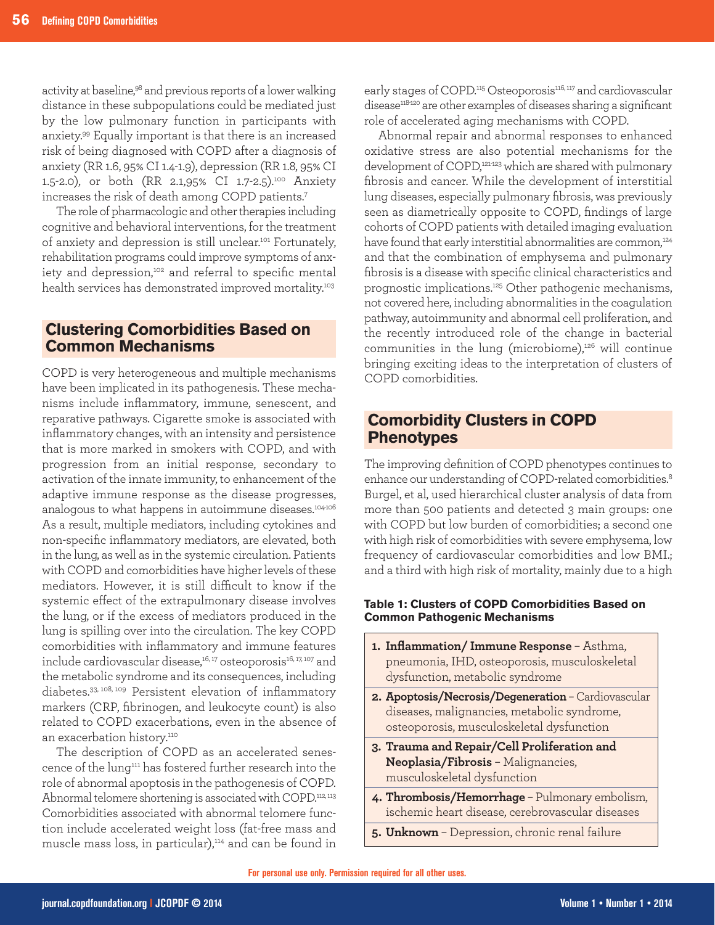activity at baseline,<sup>98</sup> and previous reports of a lower walking distance in these subpopulations could be mediated just by the low pulmonary function in participants with anxiety.99 Equally important is that there is an increased risk of being diagnosed with COPD after a diagnosis of anxiety (RR 1.6, 95% CI 1.4-1.9), depression (RR 1.8, 95% CI 1.5-2.0), or both (RR 2.1,95% CI 1.7-2.5).100 Anxiety increases the risk of death among COPD patients.7

The role of pharmacologic and other therapies including cognitive and behavioral interventions, for the treatment of anxiety and depression is still unclear.101 Fortunately, rehabilitation programs could improve symptoms of anxiety and depression,<sup>102</sup> and referral to specific mental health services has demonstrated improved mortality.<sup>103</sup>

# **Clustering Comorbidities Based on Common Mechanisms**

COPD is very heterogeneous and multiple mechanisms have been implicated in its pathogenesis. These mechanisms include inflammatory, immune, senescent, and reparative pathways. Cigarette smoke is associated with inflammatory changes, with an intensity and persistence that is more marked in smokers with COPD, and with progression from an initial response, secondary to activation of the innate immunity, to enhancement of the adaptive immune response as the disease progresses, analogous to what happens in autoimmune diseases.104-106 As a result, multiple mediators, including cytokines and non-specific inflammatory mediators, are elevated, both in the lung, as well as in the systemic circulation. Patients with COPD and comorbidities have higher levels of these mediators. However, it is still difficult to know if the systemic effect of the extrapulmonary disease involves the lung, or if the excess of mediators produced in the lung is spilling over into the circulation. The key COPD comorbidities with inflammatory and immune features include cardiovascular disease,<sup>16, 17</sup> osteoporosis<sup>16, 17, 107</sup> and the metabolic syndrome and its consequences, including diabetes.33, 108, 109 Persistent elevation of inflammatory markers (CRP, fibrinogen, and leukocyte count) is also related to COPD exacerbations, even in the absence of an exacerbation history.<sup>110</sup>

The description of COPD as an accelerated senescence of the lung111 has fostered further research into the role of abnormal apoptosis in the pathogenesis of COPD. Abnormal telomere shortening is associated with COPD.<sup>112, 113</sup> Comorbidities associated with abnormal telomere function include accelerated weight loss (fat-free mass and muscle mass loss, in particular),<sup>114</sup> and can be found in early stages of COPD.<sup>115</sup> Osteoporosis<sup>116, 117</sup> and cardiovascular disease<sup>118420</sup> are other examples of diseases sharing a significant role of accelerated aging mechanisms with COPD.

Abnormal repair and abnormal responses to enhanced oxidative stress are also potential mechanisms for the development of COPD,<sup>121-123</sup> which are shared with pulmonary fibrosis and cancer. While the development of interstitial lung diseases, especially pulmonary fibrosis, was previously seen as diametrically opposite to COPD, findings of large cohorts of COPD patients with detailed imaging evaluation have found that early interstitial abnormalities are common,<sup>124</sup> and that the combination of emphysema and pulmonary fibrosis is a disease with specific clinical characteristics and prognostic implications.125 Other pathogenic mechanisms, not covered here, including abnormalities in the coagulation pathway, autoimmunity and abnormal cell proliferation, and the recently introduced role of the change in bacterial communities in the lung (microbiome), $126$  will continue bringing exciting ideas to the interpretation of clusters of COPD comorbidities.

# **Comorbidity Clusters in COPD Phenotypes**

The improving definition of COPD phenotypes continues to enhance our understanding of COPD-related comorbidities.<sup>8</sup> Burgel, et al, used hierarchical cluster analysis of data from more than 500 patients and detected 3 main groups: one with COPD but low burden of comorbidities; a second one with high risk of comorbidities with severe emphysema, low frequency of cardiovascular comorbidities and low BMI.; and a third with high risk of mortality, mainly due to a high

## **Table 1: Clusters of COPD Comorbidities Based on Common Pathogenic Mechanisms**

- **1. Inflammation/ Immune Response** Asthma, pneumonia, IHD, osteoporosis, musculoskeletal dysfunction, metabolic syndrome
- **2. Apoptosis/Necrosis/Degeneration** Cardiovascular diseases, malignancies, metabolic syndrome, osteoporosis, musculoskeletal dysfunction
- **3. Trauma and Repair/Cell Proliferation and Neoplasia/Fibrosis** – Malignancies, musculoskeletal dysfunction
- **4. Thrombosis/Hemorrhage** Pulmonary embolism, ischemic heart disease, cerebrovascular diseases
- **5. Unknown** Depression, chronic renal failure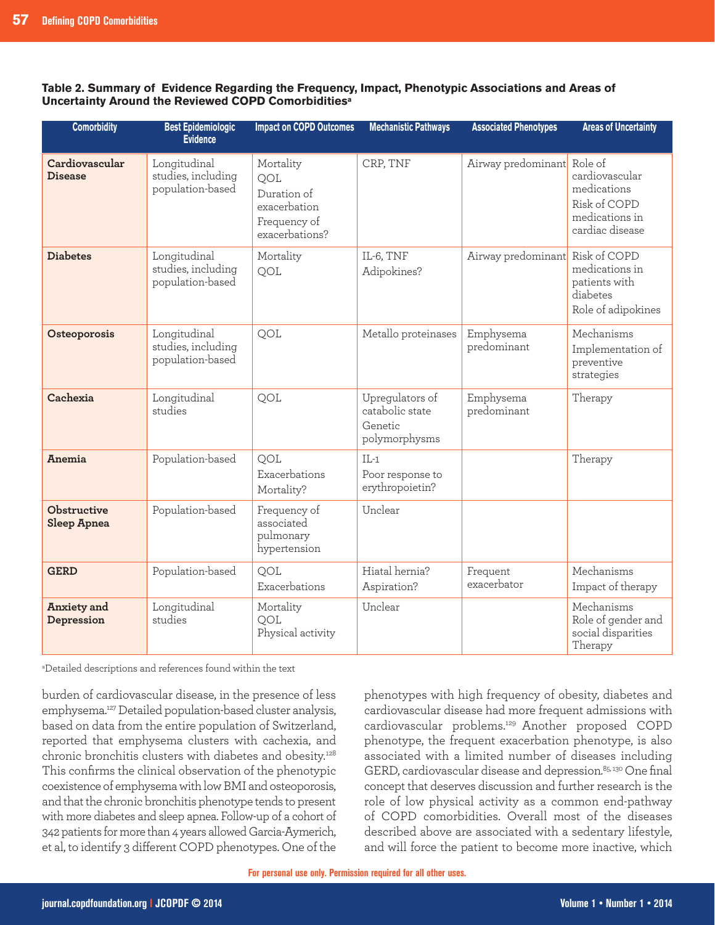**Table 2. Summary of Evidence Regarding the Frequency, Impact, Phenotypic Associations and Areas of Uncertainty Around the Reviewed COPD Comorbiditiesa**

| <b>Comorbidity</b>               | <b>Best Epidemiologic</b><br><b>Evidence</b>           | <b>Impact on COPD Outcomes</b>                                                    | <b>Mechanistic Pathways</b>                                    | <b>Associated Phenotypes</b>    | <b>Areas of Uncertainty</b>                                                        |
|----------------------------------|--------------------------------------------------------|-----------------------------------------------------------------------------------|----------------------------------------------------------------|---------------------------------|------------------------------------------------------------------------------------|
| Cardiovascular<br><b>Disease</b> | Longitudinal<br>studies, including<br>population-based | Mortality<br>QOL<br>Duration of<br>exacerbation<br>Frequency of<br>exacerbations? | CRP, TNF                                                       | Airway predominant Role of      | cardiovascular<br>medications<br>Risk of COPD<br>medications in<br>cardiac disease |
| <b>Diabetes</b>                  | Longitudinal<br>studies, including<br>population-based | Mortality<br>QOL                                                                  | IL-6, TNF<br>Adipokines?                                       | Airway predominant Risk of COPD | medications in<br>patients with<br>diabetes<br>Role of adipokines                  |
| Osteoporosis                     | Longitudinal<br>studies, including<br>population-based | QOL                                                                               | Metallo proteinases                                            | Emphysema<br>predominant        | Mechanisms<br>Implementation of<br>preventive<br>strategies                        |
| Cachexia                         | Longitudinal<br>studies                                | QOL                                                                               | Upregulators of<br>catabolic state<br>Genetic<br>polymorphysms | Emphysema<br>predominant        | Therapy                                                                            |
| <b>Anemia</b>                    | Population-based                                       | <b>OOL</b><br>Exacerbations<br>Mortality?                                         | $IL-1$<br>Poor response to<br>erythropoietin?                  |                                 | Therapy                                                                            |
| Obstructive<br>Sleep Apnea       | Population-based                                       | Frequency of<br>associated<br>pulmonary<br>hypertension                           | Unclear                                                        |                                 |                                                                                    |
| <b>GERD</b>                      | Population-based                                       | QOL<br>Exacerbations                                                              | Hiatal hernia?<br>Aspiration?                                  | Frequent<br>exacerbator         | Mechanisms<br>Impact of therapy                                                    |
| Anxiety and<br>Depression        | Longitudinal<br>studies                                | Mortality<br><b>OOL</b><br>Physical activity                                      | Unclear                                                        |                                 | Mechanisms<br>Role of gender and<br>social disparities<br>Therapy                  |

a Detailed descriptions and references found within the text

burden of cardiovascular disease, in the presence of less emphysema.127 Detailed population-based cluster analysis, based on data from the entire population of Switzerland, reported that emphysema clusters with cachexia, and chronic bronchitis clusters with diabetes and obesity.<sup>128</sup> This confirms the clinical observation of the phenotypic coexistence of emphysema with low BMI and osteoporosis, and that the chronic bronchitis phenotype tends to present with more diabetes and sleep apnea. Follow-up of a cohort of 342 patients for more than 4 years allowed Garcia-Aymerich, et al, to identify 3 different COPD phenotypes. One of the

phenotypes with high frequency of obesity, diabetes and cardiovascular disease had more frequent admissions with cardiovascular problems.129 Another proposed COPD phenotype, the frequent exacerbation phenotype, is also associated with a limited number of diseases including GERD, cardiovascular disease and depression.<sup>85, 130</sup> One final concept that deserves discussion and further research is the role of low physical activity as a common end-pathway of COPD comorbidities. Overall most of the diseases described above are associated with a sedentary lifestyle, and will force the patient to become more inactive, which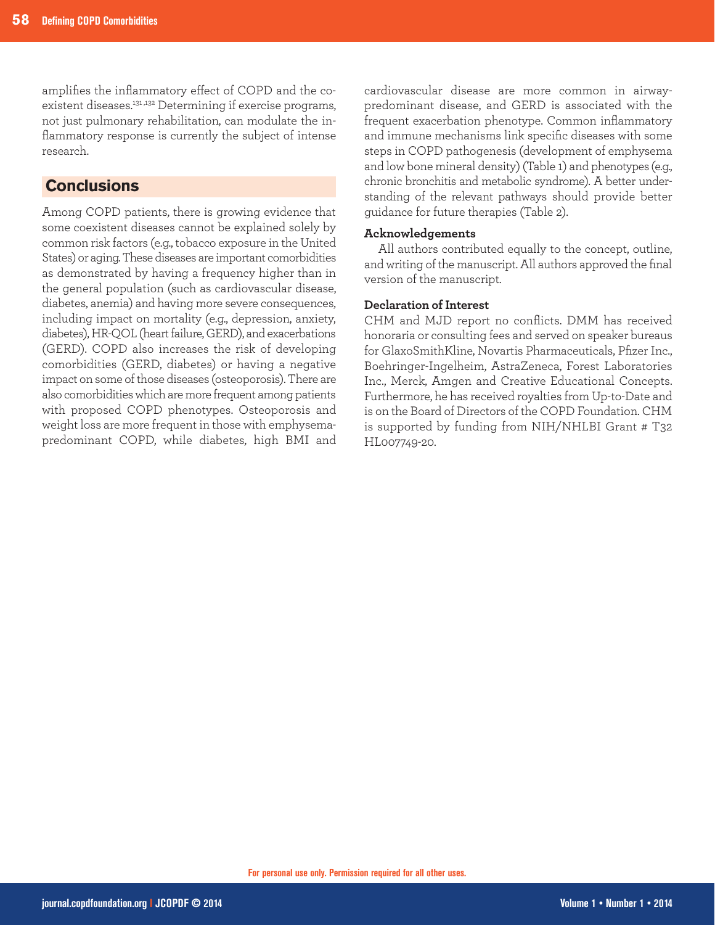amplifies the inflammatory effect of COPD and the coexistent diseases.<sup>131,132</sup> Determining if exercise programs, not just pulmonary rehabilitation, can modulate the inflammatory response is currently the subject of intense research.

# **Conclusions**

Among COPD patients, there is growing evidence that some coexistent diseases cannot be explained solely by common risk factors (e.g., tobacco exposure in the United States) or aging. These diseases are important comorbidities as demonstrated by having a frequency higher than in the general population (such as cardiovascular disease, diabetes, anemia) and having more severe consequences, including impact on mortality (e.g., depression, anxiety, diabetes), HR-QOL (heart failure, GERD), and exacerbations (GERD). COPD also increases the risk of developing comorbidities (GERD, diabetes) or having a negative impact on some of those diseases (osteoporosis). There are also comorbidities which are more frequent among patients with proposed COPD phenotypes. Osteoporosis and weight loss are more frequent in those with emphysemapredominant COPD, while diabetes, high BMI and

cardiovascular disease are more common in airwaypredominant disease, and GERD is associated with the frequent exacerbation phenotype. Common inflammatory and immune mechanisms link specific diseases with some steps in COPD pathogenesis (development of emphysema and low bone mineral density) (Table 1) and phenotypes (e.g., chronic bronchitis and metabolic syndrome). A better understanding of the relevant pathways should provide better guidance for future therapies (Table 2).

## **Acknowledgements**

All authors contributed equally to the concept, outline, and writing of the manuscript. All authors approved the final version of the manuscript.

## **Declaration of Interest**

CHM and MJD report no conflicts. DMM has received honoraria or consulting fees and served on speaker bureaus for GlaxoSmithKline, Novartis Pharmaceuticals, Pfizer Inc., Boehringer-Ingelheim, AstraZeneca, Forest Laboratories Inc., Merck, Amgen and Creative Educational Concepts. Furthermore, he has received royalties from Up-to-Date and is on the Board of Directors of the COPD Foundation. CHM is supported by funding from NIH/NHLBI Grant # T32 HL007749-20.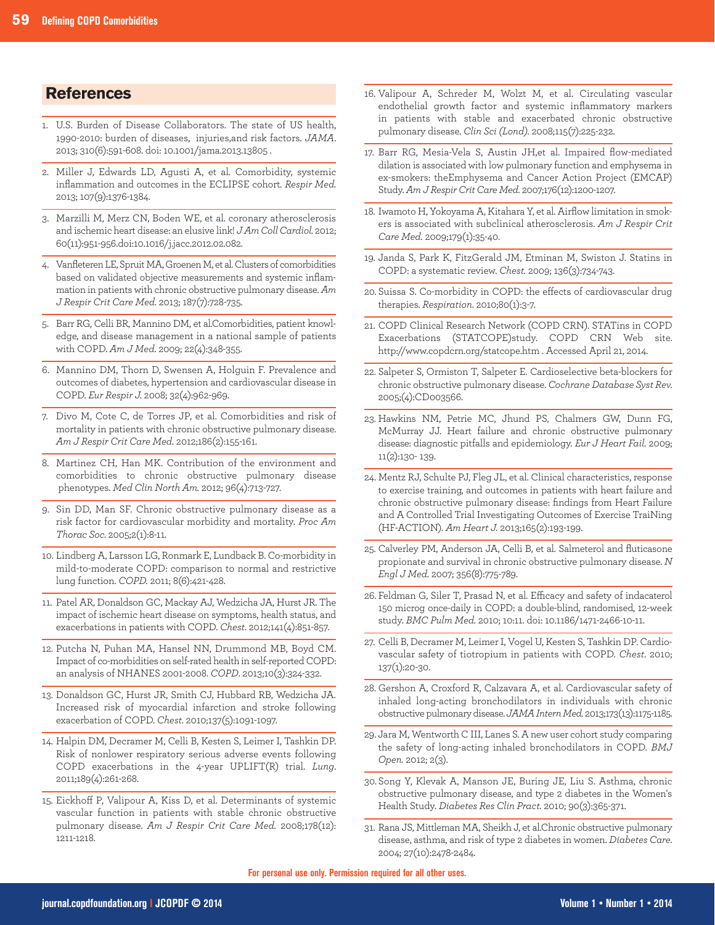## **References**

- 1. U.S. Burden of Disease Collaborators. The state of US health, 1990-2010: burden of diseases, injuries,and risk factors. *JAMA*. 2013; 310(6):591-608. doi: 10.1001/jama.2013.13805 .
- 2. Miller J, Edwards LD, Agusti A, et al. Comorbidity, systemic inflammation and outcomes in the ECLIPSE cohort. *Respir Med.* 2013; 107(9):1376-1384.
- 3. Marzilli M, Merz CN, Boden WE, et al. coronary atherosclerosis and ischemic heart disease: an elusive link! *J Am Coll Cardiol.* 2012; 60(11):951-956.doi:10.1016/j.jacc.2012.02.082.
- 4. Vanfleteren LE, Spruit MA, Groenen M, et al. Clusters of comorbidities based on validated objective measurements and systemic inflammation in patients with chronic obstructive pulmonary disease. *Am J Respir Crit Care Med.* 2013; 187(7):728-735.
- 5. Barr RG, Celli BR, Mannino DM, et al.Comorbidities, patient knowledge, and disease management in a national sample of patients with COPD. *Am J Med*. 2009; 22(4):348-355.
- 6. Mannino DM, Thorn D, Swensen A, Holguin F. Prevalence and outcomes of diabetes, hypertension and cardiovascular disease in COPD. *Eur Respir J.* 2008; 32(4):962-969.
- 7. Divo M, Cote C, de Torres JP, et al. Comorbidities and risk of mortality in patients with chronic obstructive pulmonary disease. *Am J Respir Crit Care Med.* 2012;186(2):155-161.
- 8. Martinez CH, Han MK. Contribution of the environment and comorbidities to chronic obstructive pulmonary disease phenotypes. *Med Clin North Am.* 2012; 96(4):713-727.
- 9. Sin DD, Man SF. Chronic obstructive pulmonary disease as a risk factor for cardiovascular morbidity and mortality. *Proc Am Thorac Soc.* 2005;2(1):8-11.
- 10. Lindberg A, Larsson LG, Ronmark E, Lundback B. Co-morbidity in mild-to-moderate COPD: comparison to normal and restrictive lung function. *COPD.* 2011; 8(6):421-428.
- 11. Patel AR, Donaldson GC, Mackay AJ, Wedzicha JA, Hurst JR. The impact of ischemic heart disease on symptoms, health status, and exacerbations in patients with COPD. *Chest*. 2012;141(4):851-857.
- 12. Putcha N, Puhan MA, Hansel NN, Drummond MB, Boyd CM. Impact of co-morbidities on self-rated health in self-reported COPD: an analysis of NHANES 2001-2008. *COPD*. 2013;10(3):324-332.
- 13. Donaldson GC, Hurst JR, Smith CJ, Hubbard RB, Wedzicha JA. Increased risk of myocardial infarction and stroke following exacerbation of COPD. *Chest*. 2010;137(5):1091-1097.
- 14. Halpin DM, Decramer M, Celli B, Kesten S, Leimer I, Tashkin DP. Risk of nonlower respiratory serious adverse events following COPD exacerbations in the 4-year UPLIFT(R) trial. *Lung*. 2011;189(4):261-268.
- 15. Eickhoff P, Valipour A, Kiss D, et al. Determinants of systemic vascular function in patients with stable chronic obstructive pulmonary disease. *Am J Respir Crit Care Med.* 2008;178(12): 1211-1218.
- 16. Valipour A, Schreder M, Wolzt M, et al. Circulating vascular endothelial growth factor and systemic inflammatory markers in patients with stable and exacerbated chronic obstructive pulmonary disease. *Clin Sci (Lond).* 2008;115(7):225-232.
- 17. Barr RG, Mesia-Vela S, Austin JH,et al. Impaired flow-mediated dilation is associated with low pulmonary function and emphysema in ex-smokers: theEmphysema and Cancer Action Project (EMCAP) Study. *Am J Respir Crit Care Med.* 2007;176(12):1200-1207.
- 18. Iwamoto H, Yokoyama A, Kitahara Y, et al. Airflow limitation in smokers is associated with subclinical atherosclerosis. *Am J Respir Crit Care Med.* 2009;179(1):35-40.
- 19. Janda S, Park K, FitzGerald JM, Etminan M, Swiston J. Statins in COPD: a systematic review. *Chest.* 2009; 136(3):734-743.
- 20. Suissa S. Co-morbidity in COPD: the effects of cardiovascular drug therapies. *Respiration*. 2010;80(1):3-7.
- 21. COPD Clinical Research Network (COPD CRN). STATins in COPD Exacerbations (STATCOPE)study. COPD CRN Web site. http://www.copdcrn.org/statcope.htm . Accessed April 21, 2014.
- 22. Salpeter S, Ormiston T, Salpeter E. Cardioselective beta-blockers for chronic obstructive pulmonary disease. *Cochrane Database Syst Rev.* 2005;(4):CD003566.
- 23. Hawkins NM, Petrie MC, Jhund PS, Chalmers GW, Dunn FG, McMurray JJ. Heart failure and chronic obstructive pulmonary disease: diagnostic pitfalls and epidemiology. *Eur J Heart Fail.* 2009; 11(2):130- 139.
- 24. Mentz RJ, Schulte PJ, Fleg JL, et al. Clinical characteristics, response to exercise training, and outcomes in patients with heart failure and chronic obstructive pulmonary disease: findings from Heart Failure and A Controlled Trial Investigating Outcomes of Exercise TraiNing (HF-ACTION). *Am Heart J.* 2013;165(2):193-199.
- 25. Calverley PM, Anderson JA, Celli B, et al. Salmeterol and fluticasone propionate and survival in chronic obstructive pulmonary disease. *N Engl J Med.* 2007; 356(8):775-789.
- 26. Feldman G, Siler T, Prasad N, et al. Efficacy and safety of indacaterol 150 microg once-daily in COPD: a double-blind, randomised, 12-week study. *BMC Pulm Med.* 2010; 10:11. doi: 10.1186/1471-2466-10-11.
- 27. Celli B, Decramer M, Leimer I, Vogel U, Kesten S, Tashkin DP. Cardiovascular safety of tiotropium in patients with COPD. *Chest*. 2010; 137(1):20-30.
- 28. Gershon A, Croxford R, Calzavara A, et al. Cardiovascular safety of inhaled long-acting bronchodilators in individuals with chronic obstructive pulmonary disease.*JAMA Intern Med.* 2013;173(13):1175-1185.
- 29. Jara M, Wentworth C III, Lanes S. A new user cohort study comparing the safety of long-acting inhaled bronchodilators in COPD. *BMJ Open.* 2012; 2(3).
- 30. Song Y, Klevak A, Manson JE, Buring JE, Liu S. Asthma, chronic obstructive pulmonary disease, and type 2 diabetes in the Women's Health Study. *Diabetes Res Clin Pract.* 2010; 90(3):365-371.
- 31. Rana JS, Mittleman MA, Sheikh J, et al.Chronic obstructive pulmonary disease, asthma, and risk of type 2 diabetes in women. *Diabetes Care.* 2004; 27(10):2478-2484.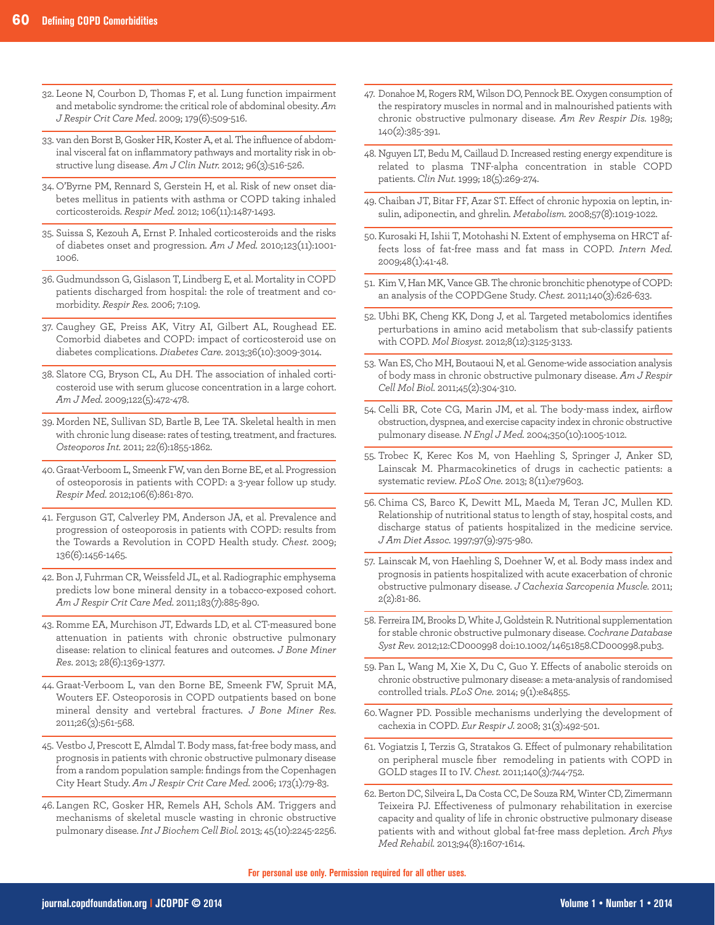- 32. Leone N, Courbon D, Thomas F, et al. Lung function impairment and metabolic syndrome: the critical role of abdominal obesity. *Am J Respir Crit Care Med*. 2009; 179(6):509-516.
- 33. van den Borst B, Gosker HR, Koster A, et al. The influence of abdominal visceral fat on inflammatory pathways and mortality risk in obstructive lung disease. *Am J Clin Nutr.* 2012; 96(3):516-526.
- 34. O'Byrne PM, Rennard S, Gerstein H, et al. Risk of new onset diabetes mellitus in patients with asthma or COPD taking inhaled corticosteroids. *Respir Med.* 2012; 106(11):1487-1493.
- 35. Suissa S, Kezouh A, Ernst P. Inhaled corticosteroids and the risks of diabetes onset and progression. *Am J Med.* 2010;123(11):1001- 1006.
- 36. Gudmundsson G, Gislason T, Lindberg E, et al. Mortality in COPD patients discharged from hospital: the role of treatment and comorbidity. *Respir Res.* 2006; 7:109.
- 37. Caughey GE, Preiss AK, Vitry AI, Gilbert AL, Roughead EE. Comorbid diabetes and COPD: impact of corticosteroid use on diabetes complications. *Diabetes Care.* 2013;36(10):3009-3014.
- 38. Slatore CG, Bryson CL, Au DH. The association of inhaled corticosteroid use with serum glucose concentration in a large cohort. *Am J Med.* 2009;122(5):472-478.
- 39. Morden NE, Sullivan SD, Bartle B, Lee TA. Skeletal health in men with chronic lung disease: rates of testing, treatment, and fractures. *Osteoporos Int.* 2011; 22(6):1855-1862.
- 40. Graat-Verboom L, Smeenk FW, van den Borne BE, et al. Progression of osteoporosis in patients with COPD: a 3-year follow up study. *Respir Med.* 2012;106(6):861-870.
- 41. Ferguson GT, Calverley PM, Anderson JA, et al. Prevalence and progression of osteoporosis in patients with COPD: results from the Towards a Revolution in COPD Health study. *Chest.* 2009; 136(6):1456-1465.
- 42. Bon J, Fuhrman CR, Weissfeld JL, et al. Radiographic emphysema predicts low bone mineral density in a tobacco-exposed cohort. *Am J Respir Crit Care Med.* 2011;183(7):885-890.
- 43. Romme EA, Murchison JT, Edwards LD, et al. CT-measured bone attenuation in patients with chronic obstructive pulmonary disease: relation to clinical features and outcomes. *J Bone Miner Res*. 2013; 28(6):1369-1377.
- 44. Graat-Verboom L, van den Borne BE, Smeenk FW, Spruit MA, Wouters EF. Osteoporosis in COPD outpatients based on bone mineral density and vertebral fractures. *J Bone Miner Res.* 2011;26(3):561-568.
- 45. Vestbo J, Prescott E, Almdal T. Body mass, fat-free body mass, and prognosis in patients with chronic obstructive pulmonary disease from a random population sample: findings from the Copenhagen City Heart Study. *Am J Respir Crit Care Med.* 2006; 173(1):79-83.
- 46. Langen RC, Gosker HR, Remels AH, Schols AM. Triggers and mechanisms of skeletal muscle wasting in chronic obstructive pulmonary disease.*Int J Biochem Cell Biol.* 2013; 45(10):2245-2256.
- 47. Donahoe M, Rogers RM, Wilson DO, Pennock BE. Oxygen consumption of the respiratory muscles in normal and in malnourished patients with chronic obstructive pulmonary disease. *Am Rev Respir Dis.* 1989; 140(2):385-391.
- 48. Nguyen LT, Bedu M, Caillaud D. Increased resting energy expenditure is related to plasma TNF-alpha concentration in stable COPD patients. *Clin Nut.* 1999; 18(5):269-274.
- 49. Chaiban JT, Bitar FF, Azar ST. Effect of chronic hypoxia on leptin, insulin, adiponectin, and ghrelin*. Metabolism.* 2008;57(8):1019-1022.
- 50. Kurosaki H, Ishii T, Motohashi N. Extent of emphysema on HRCT affects loss of fat-free mass and fat mass in COPD. *Intern Med.* 2009;48(1):41-48.
- 51. Kim V, Han MK, Vance GB. The chronic bronchitic phenotype of COPD: an analysis of the COPDGene Study. *Chest.* 2011;140(3):626-633.
- 52. Ubhi BK, Cheng KK, Dong J, et al. Targeted metabolomics identifies perturbations in amino acid metabolism that sub-classify patients with COPD. *Mol Biosyst.* 2012;8(12):3125-3133.
- 53. Wan ES, Cho MH, Boutaoui N, et al. Genome-wide association analysis of body mass in chronic obstructive pulmonary disease. *Am J Respir Cell Mol Biol.* 2011;45(2):304-310.
- 54. Celli BR, Cote CG, Marin JM, et al. The body-mass index, airflow obstruction, dyspnea, and exercise capacity index in chronic obstructive pulmonary disease. *N Engl J Med.* 2004;350(10):1005-1012.
- 55. Trobec K, Kerec Kos M, von Haehling S, Springer J, Anker SD, Lainscak M. Pharmacokinetics of drugs in cachectic patients: a systematic review. *PLoS One.* 2013; 8(11):e79603.
- 56. Chima CS, Barco K, Dewitt ML, Maeda M, Teran JC, Mullen KD. Relationship of nutritional status to length of stay, hospital costs, and discharge status of patients hospitalized in the medicine service. *J Am Diet Assoc.* 1997;97(9):975-980.
- 57. Lainscak M, von Haehling S, Doehner W, et al. Body mass index and prognosis in patients hospitalized with acute exacerbation of chronic obstructive pulmonary disease. *J Cachexia Sarcopenia Muscle.* 2011; 2(2):81-86.
- 58. Ferreira IM, Brooks D, White J, Goldstein R. Nutritional supplementation for stable chronic obstructive pulmonary disease. *Cochrane Database Syst Rev.* 2012;12:CD000998 doi:10.1002/14651858.CD000998.pub3.
- 59. Pan L, Wang M, Xie X, Du C, Guo Y. Effects of anabolic steroids on chronic obstructive pulmonary disease: a meta-analysis of randomised controlled trials. *PLoS One.* 2014; 9(1):e84855.
- 60.Wagner PD. Possible mechanisms underlying the development of cachexia in COPD. *Eur Respir J.* 2008; 31(3):492-501.
- 61. Vogiatzis I, Terzis G, Stratakos G. Effect of pulmonary rehabilitation on peripheral muscle fiber remodeling in patients with COPD in GOLD stages II to IV. *Chest.* 2011;140(3):744-752.
- 62. Berton DC, Silveira L, Da Costa CC, De Souza RM, Winter CD, Zimermann Teixeira PJ. Effectiveness of pulmonary rehabilitation in exercise capacity and quality of life in chronic obstructive pulmonary disease patients with and without global fat-free mass depletion. *Arch Phys Med Rehabil.* 2013;94(8):1607-1614.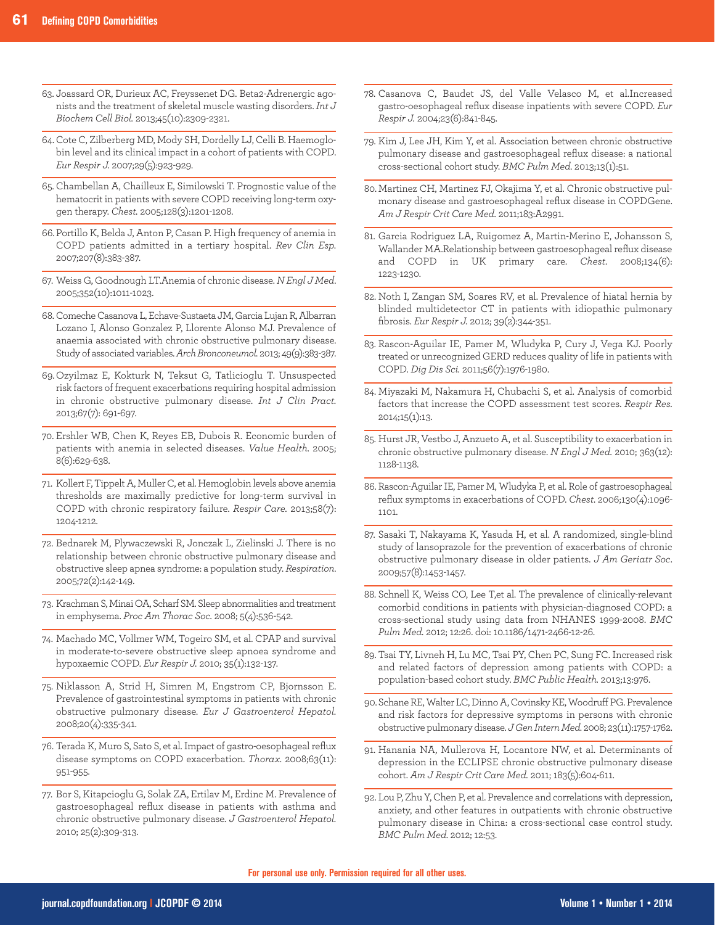- 63. Joassard OR, Durieux AC, Freyssenet DG. Beta2-Adrenergic agonists and the treatment of skeletal muscle wasting disorders. *Int J Biochem Cell Biol.* 2013;45(10):2309-2321.
- 64. Cote C, Zilberberg MD, Mody SH, Dordelly LJ, Celli B. Haemoglobin level and its clinical impact in a cohort of patients with COPD. *Eur Respir J.* 2007;29(5):923-929.
- 65. Chambellan A, Chailleux E, Similowski T. Prognostic value of the hematocrit in patients with severe COPD receiving long-term oxygen therapy. *Chest.* 2005;128(3):1201-1208.
- 66. Portillo K, Belda J, Anton P, Casan P. High frequency of anemia in COPD patients admitted in a tertiary hospital. *Rev Clin Esp.* 2007;207(8):383-387.
- 67. Weiss G, Goodnough LT.Anemia of chronic disease. *N Engl J Med*. 2005;352(10):1011-1023.
- 68. Comeche Casanova L, Echave-Sustaeta JM, Garcia Lujan R, Albarran Lozano I, Alonso Gonzalez P, Llorente Alonso MJ. Prevalence of anaemia associated with chronic obstructive pulmonary disease. Study of associated variables. *Arch Bronconeumol.* 2013; 49(9):383-387.
- 69. Ozyilmaz E, Kokturk N, Teksut G, Tatlicioglu T. Unsuspected risk factors of frequent exacerbations requiring hospital admission in chronic obstructive pulmonary disease. *Int J Clin Pract.* 2013;67(7): 691-697.
- 70. Ershler WB, Chen K, Reyes EB, Dubois R. Economic burden of patients with anemia in selected diseases. *Value Health.* 2005; 8(6):629-638.
- 71. Kollert F, Tippelt A, Muller C, et al. Hemoglobin levels above anemia thresholds are maximally predictive for long-term survival in COPD with chronic respiratory failure. *Respir Care.* 2013;58(7): 1204-1212.
- 72. Bednarek M, Plywaczewski R, Jonczak L, Zielinski J. There is no relationship between chronic obstructive pulmonary disease and obstructive sleep apnea syndrome: a population study. *Respiration*. 2005;72(2):142-149.
- 73. Krachman S, Minai OA, Scharf SM. Sleep abnormalities and treatment in emphysema. *Proc Am Thorac Soc.* 2008; 5(4):536-542.
- 74. Machado MC, Vollmer WM, Togeiro SM, et al. CPAP and survival in moderate-to-severe obstructive sleep apnoea syndrome and hypoxaemic COPD. *Eur Respir J.* 2010; 35(1):132-137.
- 75. Niklasson A, Strid H, Simren M, Engstrom CP, Bjornsson E. Prevalence of gastrointestinal symptoms in patients with chronic obstructive pulmonary disease. *Eur J Gastroenterol Hepatol.* 2008;20(4):335-341.
- 76. Terada K, Muro S, Sato S, et al. Impact of gastro-oesophageal reflux disease symptoms on COPD exacerbation. *Thorax.* 2008;63(11): 951-955.
- 77. Bor S, Kitapcioglu G, Solak ZA, Ertilav M, Erdinc M. Prevalence of gastroesophageal reflux disease in patients with asthma and chronic obstructive pulmonary disease. *J Gastroenterol Hepatol.* 2010; 25(2):309-313.
- 78. Casanova C, Baudet JS, del Valle Velasco M, et al.Increased gastro-oesophageal reflux disease inpatients with severe COPD. *Eur Respir J.* 2004;23(6):841-845.
- 79. Kim J, Lee JH, Kim Y, et al. Association between chronic obstructive pulmonary disease and gastroesophageal reflux disease: a national cross-sectional cohort study. *BMC Pulm Med.* 2013;13(1):51.
- 80. Martinez CH, Martinez FJ, Okajima Y, et al. Chronic obstructive pulmonary disease and gastroesophageal reflux disease in COPDGene. *Am J Respir Crit Care Med.* 2011;183:A2991.
- 81. Garcia Rodriguez LA, Ruigomez A, Martin-Merino E, Johansson S, Wallander MA.Relationship between gastroesophageal reflux disease and COPD in UK primary care. *Chest*. 2008;134(6): 1223-1230.
- 82. Noth I, Zangan SM, Soares RV, et al. Prevalence of hiatal hernia by blinded multidetector CT in patients with idiopathic pulmonary fibrosis. *Eur Respir J.* 2012; 39(2):344-351.
- 83. Rascon-Aguilar IE, Pamer M, Wludyka P, Cury J, Vega KJ. Poorly treated or unrecognized GERD reduces quality of life in patients with COPD. *Dig Dis Sci.* 2011;56(7):1976-1980.
- 84. Miyazaki M, Nakamura H, Chubachi S, et al. Analysis of comorbid factors that increase the COPD assessment test scores. *Respir Res.* 2014;15(1):13.
- 85. Hurst JR, Vestbo J, Anzueto A, et al. Susceptibility to exacerbation in chronic obstructive pulmonary disease. *N Engl J Med.* 2010; 363(12): 1128-1138.
- 86. Rascon-Aguilar IE, Pamer M, Wludyka P, et al. Role of gastroesophageal reflux symptoms in exacerbations of COPD. *Chest*. 2006;130(4):1096- 1101.
- 87. Sasaki T, Nakayama K, Yasuda H, et al. A randomized, single-blind study of lansoprazole for the prevention of exacerbations of chronic obstructive pulmonary disease in older patients. *J Am Geriatr Soc*. 2009;57(8):1453-1457.
- 88. Schnell K, Weiss CO, Lee T,et al. The prevalence of clinically-relevant comorbid conditions in patients with physician-diagnosed COPD: a cross-sectional study using data from NHANES 1999-2008. *BMC Pulm Med.* 2012; 12:26. doi: 10.1186/1471-2466-12-26.
- 89. Tsai TY, Livneh H, Lu MC, Tsai PY, Chen PC, Sung FC. Increased risk and related factors of depression among patients with COPD: a population-based cohort study. *BMC Public Health.* 2013;13:976.
- 90.Schane RE, Walter LC, Dinno A, Covinsky KE, Woodruff PG. Prevalence and risk factors for depressive symptoms in persons with chronic obstructive pulmonary disease. *J Gen Intern Med.* 2008; 23(11):1757-1762.
- 91. Hanania NA, Mullerova H, Locantore NW, et al. Determinants of depression in the ECLIPSE chronic obstructive pulmonary disease cohort. *Am J Respir Crit Care Med.* 2011; 183(5):604-611.
- 92. Lou P, Zhu Y, Chen P, et al. Prevalence and correlations with depression, anxiety, and other features in outpatients with chronic obstructive pulmonary disease in China: a cross-sectional case control study. *BMC Pulm Med.* 2012; 12:53.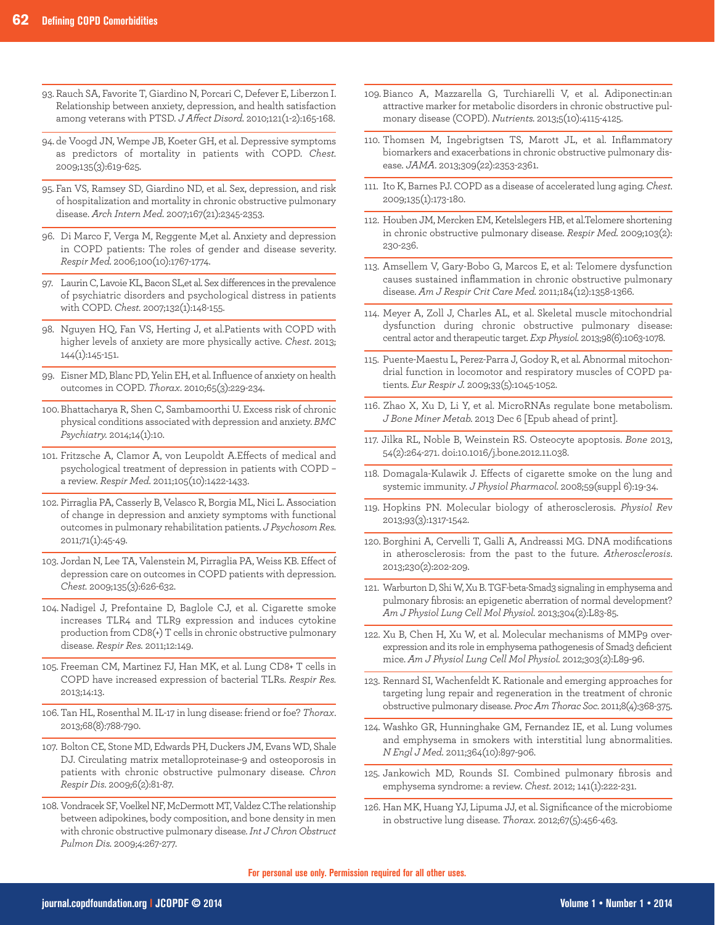- 93. Rauch SA, Favorite T, Giardino N, Porcari C, Defever E, Liberzon I. Relationship between anxiety, depression, and health satisfaction among veterans with PTSD. *J Affect Disord.* 2010;121(1-2):165-168.
- 94. de Voogd JN, Wempe JB, Koeter GH, et al. Depressive symptoms as predictors of mortality in patients with COPD. *Chest.* 2009;135(3):619-625.
- 95. Fan VS, Ramsey SD, Giardino ND, et al. Sex, depression, and risk of hospitalization and mortality in chronic obstructive pulmonary disease. *Arch Intern Med.* 2007;167(21):2345-2353.
- 96. Di Marco F, Verga M, Reggente M,et al. Anxiety and depression in COPD patients: The roles of gender and disease severity. *Respir Med.* 2006;100(10):1767-1774.
- 97. Laurin C, Lavoie KL, Bacon SL,et al. Sex differences in the prevalence of psychiatric disorders and psychological distress in patients with COPD. *Chest.* 2007;132(1):148-155.
- 98. Nguyen HQ, Fan VS, Herting J, et al.Patients with COPD with higher levels of anxiety are more physically active. *Chest*. 2013; 144(1):145-151.
- 99. Eisner MD, Blanc PD, Yelin EH, et al. Influence of anxiety on health outcomes in COPD. *Thorax*. 2010;65(3):229-234.
- 100. Bhattacharya R, Shen C, Sambamoorthi U. Excess risk of chronic physical conditions associated with depression and anxiety. *BMC Psychiatry.* 2014;14(1):10.
- 101. Fritzsche A, Clamor A, von Leupoldt A.Effects of medical and psychological treatment of depression in patients with COPD – a review. *Respir Med.* 2011;105(10):1422-1433.
- 102. Pirraglia PA, Casserly B, Velasco R, Borgia ML, Nici L. Association of change in depression and anxiety symptoms with functional outcomes in pulmonary rehabilitation patients. *J Psychosom Res.* 2011;71(1):45-49.
- 103. Jordan N, Lee TA, Valenstein M, Pirraglia PA, Weiss KB. Effect of depression care on outcomes in COPD patients with depression. *Chest.* 2009;135(3):626-632.
- 104. Nadigel J, Prefontaine D, Baglole CJ, et al. Cigarette smoke increases TLR4 and TLR9 expression and induces cytokine production from CD8(+) T cells in chronic obstructive pulmonary disease. *Respir Res.* 2011;12:149.
- 105. Freeman CM, Martinez FJ, Han MK, et al. Lung CD8+ T cells in COPD have increased expression of bacterial TLRs. *Respir Res.* 2013;14:13.
- 106. Tan HL, Rosenthal M. IL-17 in lung disease: friend or foe? *Thorax*. 2013;68(8):788-790.
- 107. Bolton CE, Stone MD, Edwards PH, Duckers JM, Evans WD, Shale DJ. Circulating matrix metalloproteinase-9 and osteoporosis in patients with chronic obstructive pulmonary disease. *Chron Respir Dis*. 2009;6(2):81-87.
- 108. Vondracek SF, Voelkel NF, McDermott MT, Valdez C.The relationship between adipokines, body composition, and bone density in men with chronic obstructive pulmonary disease. *Int J Chron Obstruct Pulmon Dis.* 2009;4:267-277.
- 109. Bianco A, Mazzarella G, Turchiarelli V, et al. Adiponectin:an attractive marker for metabolic disorders in chronic obstructive pulmonary disease (COPD). *Nutrients.* 2013;5(10):4115-4125.
- 110. Thomsen M, Ingebrigtsen TS, Marott JL, et al. Inflammatory biomarkers and exacerbations in chronic obstructive pulmonary disease. *JAMA.* 2013;309(22):2353-2361.
- 111. Ito K, Barnes PJ. COPD as a disease of accelerated lung aging. *Chest*. 2009;135(1):173-180.
- 112. Houben JM, Mercken EM, Ketelslegers HB, et al.Telomere shortening in chronic obstructive pulmonary disease. *Respir Med.* 2009;103(2): 230-236.
- 113. Amsellem V, Gary-Bobo G, Marcos E, et al: Telomere dysfunction causes sustained inflammation in chronic obstructive pulmonary disease. *Am J Respir Crit Care Med.* 2011;184(12):1358-1366.
- 114. Meyer A, Zoll J, Charles AL, et al. Skeletal muscle mitochondrial dysfunction during chronic obstructive pulmonary disease: central actor and therapeutic target. *Exp Physiol.* 2013;98(6):1063-1078.
- 115. Puente-Maestu L, Perez-Parra J, Godoy R, et al. Abnormal mitochondrial function in locomotor and respiratory muscles of COPD patients*. Eur Respir J.* 2009;33(5):1045-1052.
- 116. Zhao X, Xu D, Li Y, et al. MicroRNAs regulate bone metabolism. *J Bone Miner Metab.* 2013 Dec 6 [Epub ahead of print].
- 117. Jilka RL, Noble B, Weinstein RS. Osteocyte apoptosis. *Bone* 2013, 54(2):264-271. doi:10.1016/j.bone.2012.11.038.
- 118. Domagala-Kulawik J. Effects of cigarette smoke on the lung and systemic immunity. *J Physiol Pharmacol.* 2008;59(suppl 6):19-34.
- 119. Hopkins PN. Molecular biology of atherosclerosis. *Physiol Rev* 2013;93(3):1317-1542.
- 120. Borghini A, Cervelli T, Galli A, Andreassi MG. DNA modifications in atherosclerosis: from the past to the future. *Atherosclerosis*. 2013;230(2):202-209.
- 121. Warburton D, Shi W, Xu B. TGF-beta-Smad3 signaling in emphysema and pulmonary fibrosis: an epigenetic aberration of normal development? *Am J Physiol Lung Cell Mol Physiol.* 2013;304(2):L83-85.
- 122. Xu B, Chen H, Xu W, et al. Molecular mechanisms of MMP9 over expression and its role in emphysema pathogenesis of Smad3 deficient mice. *Am J Physiol Lung Cell Mol Physiol.* 2012;303(2):L89-96.
- 123. Rennard SI, Wachenfeldt K. Rationale and emerging approaches for targeting lung repair and regeneration in the treatment of chronic obstructive pulmonary disease. *Proc Am Thorac Soc.* 2011;8(4):368-375.
- 124. Washko GR, Hunninghake GM, Fernandez IE, et al. Lung volumes and emphysema in smokers with interstitial lung abnormalities. *N Engl J Med.* 2011;364(10):897-906.
- 125. Jankowich MD, Rounds SI. Combined pulmonary fibrosis and emphysema syndrome: a review. *Chest.* 2012; 141(1):222-231.
- 126. Han MK, Huang YJ, Lipuma JJ, et al. Significance of the microbiome in obstructive lung disease. *Thorax.* 2012;67(5):456-463.